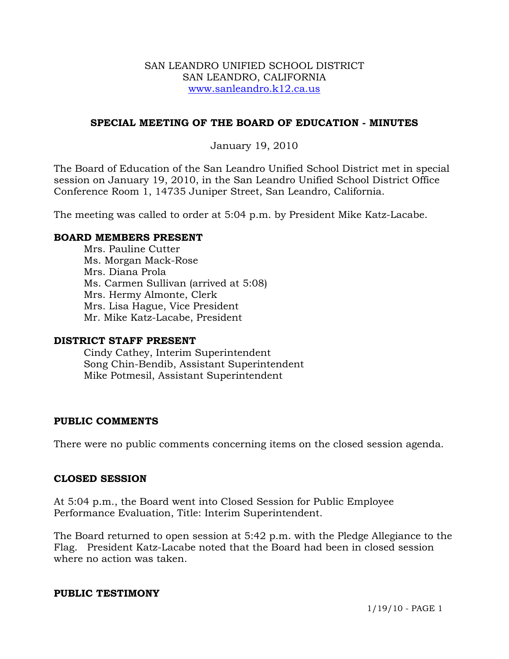### SAN LEANDRO UNIFIED SCHOOL DISTRICT SAN LEANDRO, CALIFORNIA www.sanleandro.k12.ca.us

# **SPECIAL MEETING OF THE BOARD OF EDUCATION - MINUTES**

## January 19, 2010

The Board of Education of the San Leandro Unified School District met in special session on January 19, 2010, in the San Leandro Unified School District Office Conference Room 1, 14735 Juniper Street, San Leandro, California.

The meeting was called to order at 5:04 p.m. by President Mike Katz-Lacabe.

### **BOARD MEMBERS PRESENT**

Mrs. Pauline Cutter Ms. Morgan Mack-Rose Mrs. Diana Prola Ms. Carmen Sullivan (arrived at 5:08) Mrs. Hermy Almonte, Clerk Mrs. Lisa Hague, Vice President Mr. Mike Katz-Lacabe, President

### **DISTRICT STAFF PRESENT**

Cindy Cathey, Interim Superintendent Song Chin-Bendib, Assistant Superintendent Mike Potmesil, Assistant Superintendent

### **PUBLIC COMMENTS**

There were no public comments concerning items on the closed session agenda.

### **CLOSED SESSION**

At 5:04 p.m., the Board went into Closed Session for Public Employee Performance Evaluation, Title: Interim Superintendent.

The Board returned to open session at 5:42 p.m. with the Pledge Allegiance to the Flag. President Katz-Lacabe noted that the Board had been in closed session where no action was taken.

### **PUBLIC TESTIMONY**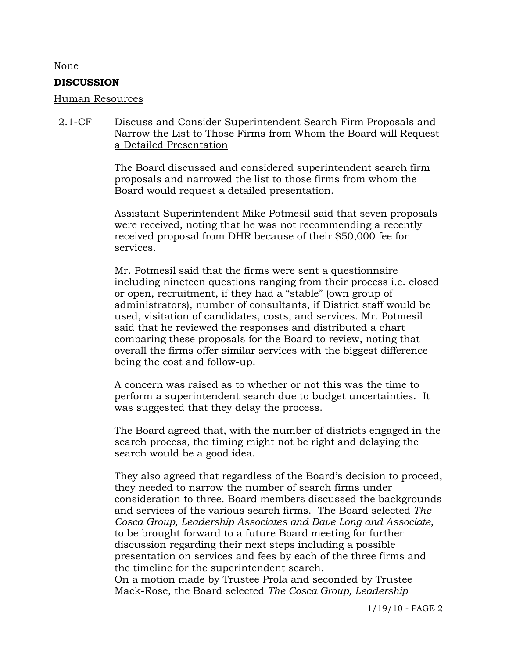#### None

#### **DISCUSSION**

#### Human Resources

## 2.1-CF Discuss and Consider Superintendent Search Firm Proposals and Narrow the List to Those Firms from Whom the Board will Request a Detailed Presentation

The Board discussed and considered superintendent search firm proposals and narrowed the list to those firms from whom the Board would request a detailed presentation.

Assistant Superintendent Mike Potmesil said that seven proposals were received, noting that he was not recommending a recently received proposal from DHR because of their \$50,000 fee for services.

Mr. Potmesil said that the firms were sent a questionnaire including nineteen questions ranging from their process i.e. closed or open, recruitment, if they had a "stable" (own group of administrators), number of consultants, if District staff would be used, visitation of candidates, costs, and services. Mr. Potmesil said that he reviewed the responses and distributed a chart comparing these proposals for the Board to review, noting that overall the firms offer similar services with the biggest difference being the cost and follow-up.

A concern was raised as to whether or not this was the time to perform a superintendent search due to budget uncertainties. It was suggested that they delay the process.

The Board agreed that, with the number of districts engaged in the search process, the timing might not be right and delaying the search would be a good idea.

They also agreed that regardless of the Board's decision to proceed, they needed to narrow the number of search firms under consideration to three. Board members discussed the backgrounds and services of the various search firms. The Board selected *The Cosca Group, Leadership Associates and Dave Long and Associate*, to be brought forward to a future Board meeting for further discussion regarding their next steps including a possible presentation on services and fees by each of the three firms and the timeline for the superintendent search.

On a motion made by Trustee Prola and seconded by Trustee Mack-Rose, the Board selected *The Cosca Group, Leadership*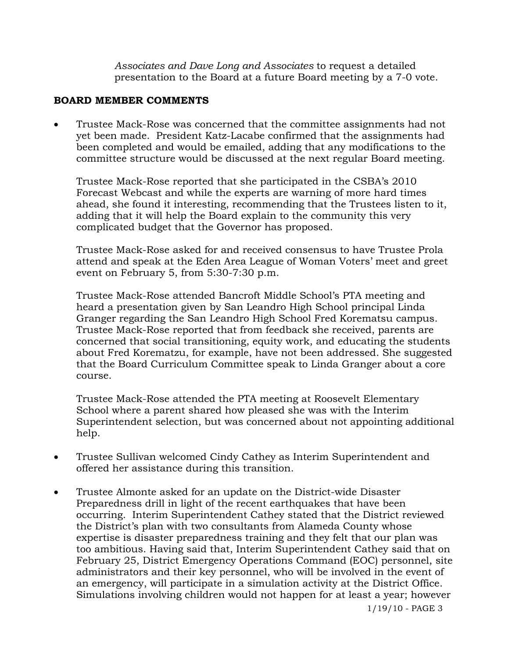*Associates and Dave Long and Associates* to request a detailed presentation to the Board at a future Board meeting by a 7-0 vote.

## **BOARD MEMBER COMMENTS**

• Trustee Mack-Rose was concerned that the committee assignments had not yet been made. President Katz-Lacabe confirmed that the assignments had been completed and would be emailed, adding that any modifications to the committee structure would be discussed at the next regular Board meeting.

Trustee Mack-Rose reported that she participated in the CSBA's 2010 Forecast Webcast and while the experts are warning of more hard times ahead, she found it interesting, recommending that the Trustees listen to it, adding that it will help the Board explain to the community this very complicated budget that the Governor has proposed.

Trustee Mack-Rose asked for and received consensus to have Trustee Prola attend and speak at the Eden Area League of Woman Voters' meet and greet event on February 5, from 5:30-7:30 p.m.

Trustee Mack-Rose attended Bancroft Middle School's PTA meeting and heard a presentation given by San Leandro High School principal Linda Granger regarding the San Leandro High School Fred Korematsu campus. Trustee Mack-Rose reported that from feedback she received, parents are concerned that social transitioning, equity work, and educating the students about Fred Korematzu, for example, have not been addressed. She suggested that the Board Curriculum Committee speak to Linda Granger about a core course.

 Trustee Mack-Rose attended the PTA meeting at Roosevelt Elementary School where a parent shared how pleased she was with the Interim Superintendent selection, but was concerned about not appointing additional help.

- Trustee Sullivan welcomed Cindy Cathey as Interim Superintendent and offered her assistance during this transition.
- Trustee Almonte asked for an update on the District-wide Disaster Preparedness drill in light of the recent earthquakes that have been occurring. Interim Superintendent Cathey stated that the District reviewed the District's plan with two consultants from Alameda County whose expertise is disaster preparedness training and they felt that our plan was too ambitious. Having said that, Interim Superintendent Cathey said that on February 25, District Emergency Operations Command (EOC) personnel, site administrators and their key personnel, who will be involved in the event of an emergency, will participate in a simulation activity at the District Office. Simulations involving children would not happen for at least a year; however

1/19/10 - PAGE 3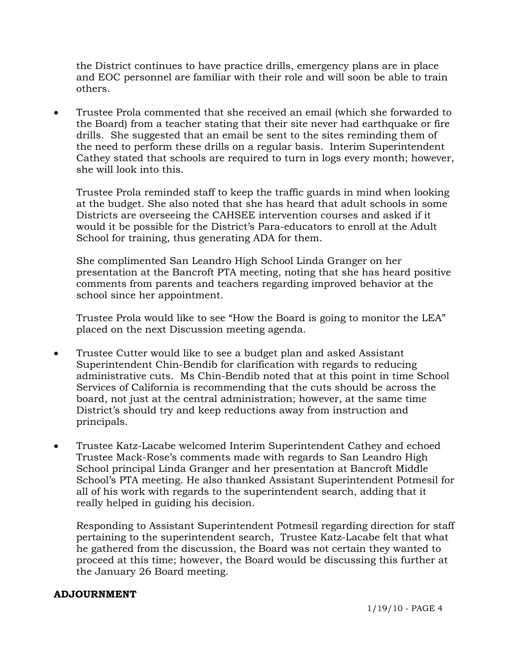the District continues to have practice drills, emergency plans are in place and EOC personnel are familiar with their role and will soon be able to train others.

• Trustee Prola commented that she received an email (which she forwarded to the Board) from a teacher stating that their site never had earthquake or fire drills. She suggested that an email be sent to the sites reminding them of the need to perform these drills on a regular basis. Interim Superintendent Cathey stated that schools are required to turn in logs every month; however, she will look into this.

Trustee Prola reminded staff to keep the traffic guards in mind when looking at the budget. She also noted that she has heard that adult schools in some Districts are overseeing the CAHSEE intervention courses and asked if it would it be possible for the District's Para-educators to enroll at the Adult School for training, thus generating ADA for them.

She complimented San Leandro High School Linda Granger on her presentation at the Bancroft PTA meeting, noting that she has heard positive comments from parents and teachers regarding improved behavior at the school since her appointment.

Trustee Prola would like to see "How the Board is going to monitor the LEA" placed on the next Discussion meeting agenda.

- Trustee Cutter would like to see a budget plan and asked Assistant Superintendent Chin-Bendib for clarification with regards to reducing administrative cuts. Ms Chin-Bendib noted that at this point in time School Services of California is recommending that the cuts should be across the board, not just at the central administration; however, at the same time District's should try and keep reductions away from instruction and principals.
- Trustee Katz-Lacabe welcomed Interim Superintendent Cathey and echoed Trustee Mack-Rose's comments made with regards to San Leandro High School principal Linda Granger and her presentation at Bancroft Middle School's PTA meeting. He also thanked Assistant Superintendent Potmesil for all of his work with regards to the superintendent search, adding that it really helped in guiding his decision.

Responding to Assistant Superintendent Potmesil regarding direction for staff pertaining to the superintendent search, Trustee Katz-Lacabe felt that what he gathered from the discussion, the Board was not certain they wanted to proceed at this time; however, the Board would be discussing this further at the January 26 Board meeting.

# **ADJOURNMENT**